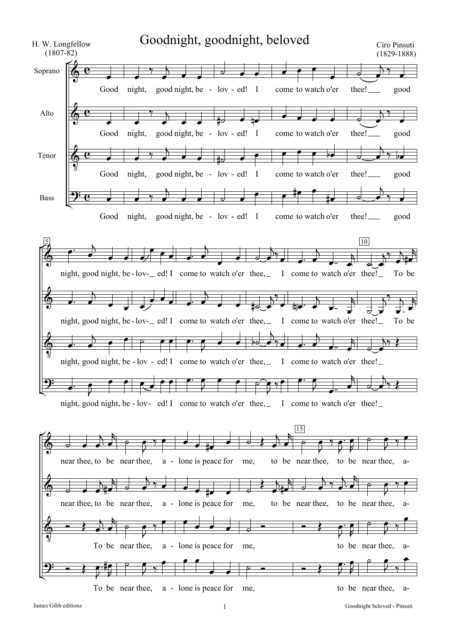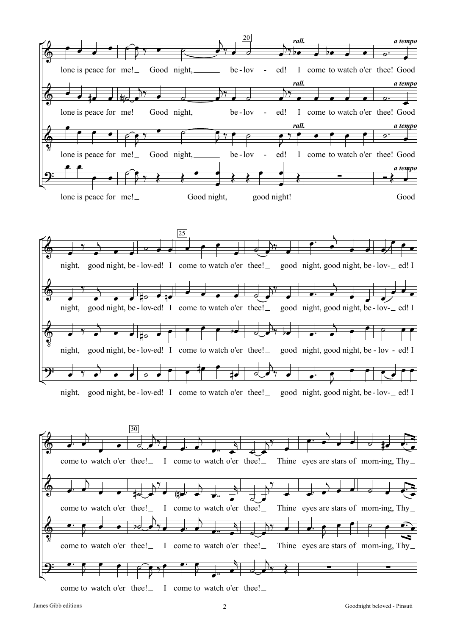



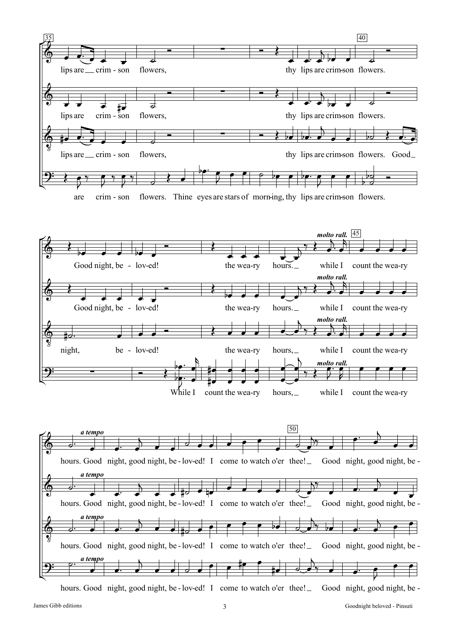

hours. Good night, good night, be-lov-ed! I come to watch o'er thee! Good night, good night, be -